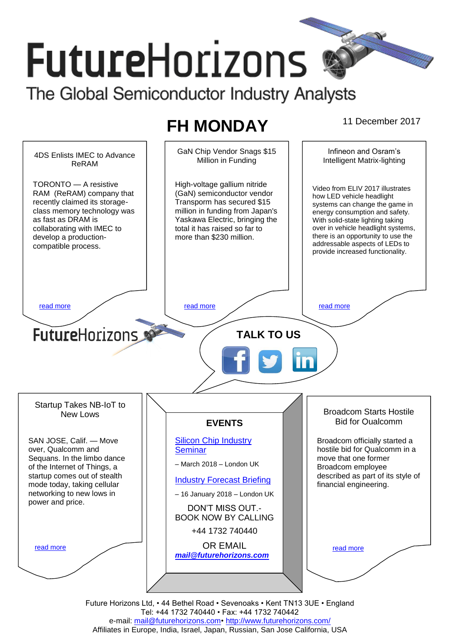# **FutureHorizons** The Global Semiconductor Industry Analysts

# **FH MONDAY** 11 December 2017

Infineon and Osram's GaN Chip Vendor Snags \$15 4DS Enlists IMEC to Advance Million in Funding Intelligent Matrix-lighting ReRAM TORONTO — A resistive High-voltage gallium nitride Video from ELIV 2017 illustrates RAM (ReRAM) company that (GaN) semiconductor vendor how LED vehicle headlight recently claimed its storage-Transporm has secured \$15 systems can change the game in million in funding from Japan's class memory technology was energy consumption and safety. Yaskawa Electric, bringing the as fast as DRAM is With solid-state lighting taking over in vehicle headlight systems, collaborating with IMEC to total it has raised so far to there is an opportunity to use the develop a productionmore than \$230 million. addressable aspects of LEDs to compatible process. provide increased functionality. [read more](#page-1-1) that the second contract the second contract of the read more that the read more that the read more **Future**Horizons **TALK TO US** Startup Takes NB-IoT to Broadcom Starts Hostile New Lows Bid for Qualcomm **EVENTS** SAN JOSE, Calif. — Move [Silicon Chip Industry](http://www.futurehorizons.com/page/12/silicon-chip-training)  Broadcom officially started a over, Qualcomm and **[Seminar](http://www.futurehorizons.com/page/12/silicon-chip-training)** hostile bid for Qualcomm in a Sequans. In the limbo dance move that one former – March 2018 – London UK of the Internet of Things, a Broadcom employee startup comes out of stealth described as part of its style of [Industry Forecast Briefing](http://www.futurehorizons.com/page/13/Semiconductor-Market-Forecast-Seminar) mode today, taking cellular financial engineering. networking to new lows in – 16 January 2018 – London UK power and price.DON'T MISS OUT.- BOOK NOW BY CALLING +44 1732 740440 OR EMAIL [read more](#page-1-3) [read more](#page-1-4) *[mail@futurehorizons.com](mailto:mail@futurehorizons.com)*

Future Horizons Ltd, • 44 Bethel Road • Sevenoaks • Kent TN13 3UE • England Tel: +44 1732 740440 • Fax: +44 1732 740442 e-mail: mail@futurehorizons.com• http://www.futurehorizons.com/ Affiliates in Europe, India, Israel, Japan, Russian, San Jose California, USA